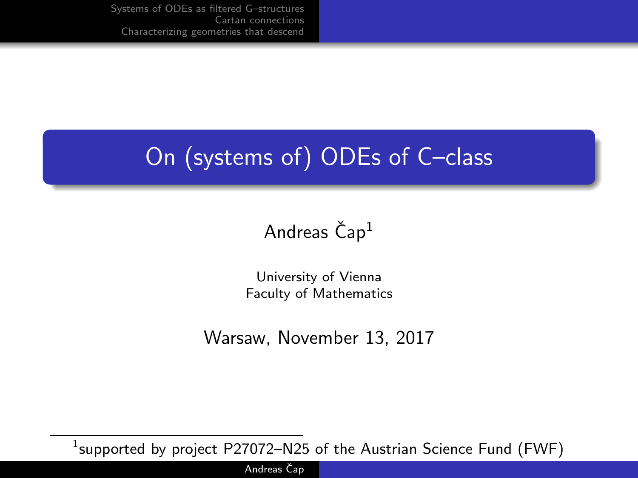# On (systems of) ODEs of C–class

## Andreas  $\check{C}$ ap<sup>1</sup>

University of Vienna Faculty of Mathematics

Warsaw, November 13, 2017

 $^1$ supported by project <code>P27072–N25</code> of the Austrian Science Fund (FWF)

Andreas Čap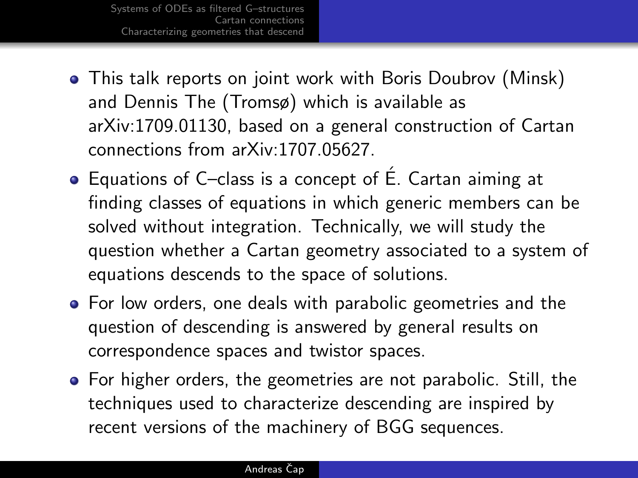- This talk reports on joint work with Boris Doubrov (Minsk) and Dennis The (Tromsø) which is available as arXiv:1709.01130, based on a general construction of Cartan connections from arXiv:1707.05627.
- Equations of C–class is a concept of É. Cartan aiming at finding classes of equations in which generic members can be solved without integration. Technically, we will study the question whether a Cartan geometry associated to a system of equations descends to the space of solutions.
- For low orders, one deals with parabolic geometries and the question of descending is answered by general results on correspondence spaces and twistor spaces.
- For higher orders, the geometries are not parabolic. Still, the techniques used to characterize descending are inspired by recent versions of the machinery of BGG sequences.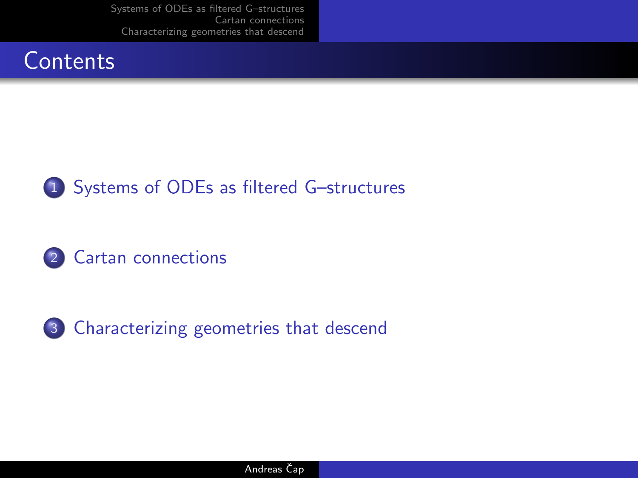







3 [Characterizing geometries that descend](#page-10-0)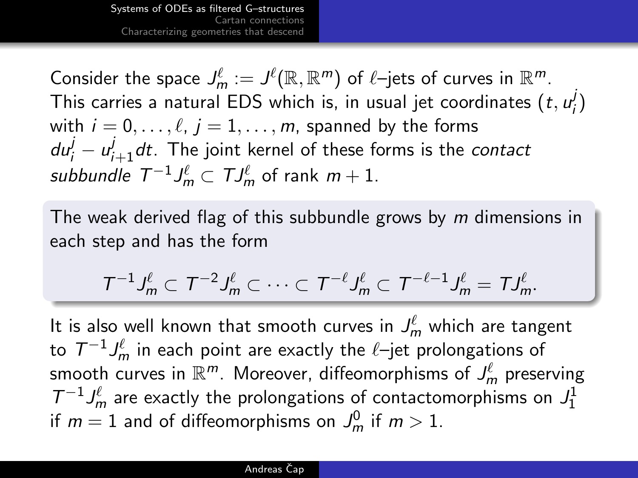<span id="page-3-0"></span>Consider the space  $J_m^{\ell} := J^{\ell}(\mathbb{R}, \mathbb{R}^m)$  of  $\ell$ –jets of curves in  $\mathbb{R}^m$ . This carries a natural EDS which is, in usual jet coordinates  $(t, u^j_t)$ i ) with  $i = 0, \ldots, \ell, j = 1, \ldots, m$ , spanned by the forms  $du^{j}_{i}-u^{j}_{i+1}dt.$  The joint kernel of these forms is the *contact* subbundle  $\mathcal{T}^{-1}J_{m}^{\ell}\subset \mathcal{T}J_{m}^{\ell}$  of rank  $m+1.$ 

The weak derived flag of this subbundle grows by m dimensions in each step and has the form

$$
\mathcal{T}^{-1}J_m^{\ell}\subset \mathcal{T}^{-2}J_m^{\ell}\subset \cdots \subset \mathcal{T}^{-\ell}J_m^{\ell}\subset \mathcal{T}^{-\ell-1}J_m^{\ell}=\mathcal{T}J_m^{\ell}.
$$

It is also well known that smooth curves in  $J_m^{\ell}$  which are tangent to  $\, T^{-1} J_m^\ell$  in each point are exactly the  $\ell$ –jet prolongations of smooth curves in  $\mathbb{R}^m$ . Moreover, diffeomorphisms of  $J_m^\ell$  preserving  $T^{-1} J_m^{\ell}$  are exactly the prolongations of contactomorphisms on  $J_1^1$ if  $m=1$  and of diffeomorphisms on  $\mathcal{J}^0_m$  if  $m>1.$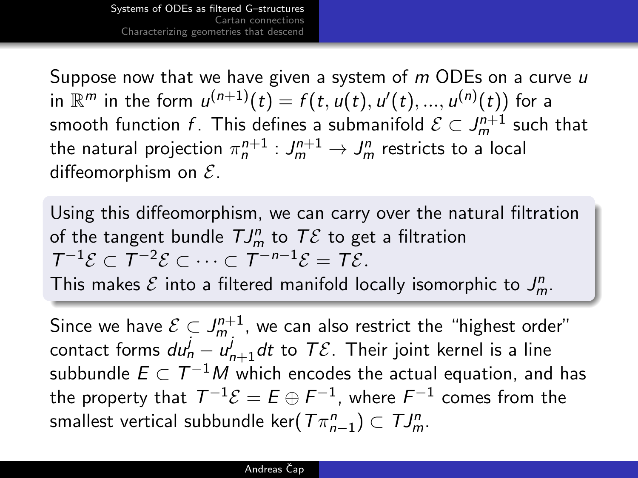Suppose now that we have given a system of m ODEs on a curve u in  $\mathbb{R}^m$  in the form  $\mathcal{u}^{(n+1)}(t) = f(t,\mathcal{u}(t),\mathcal{u}'(t),...,\mathcal{u}^{(n)}(t))$  for a smooth function  $f$ . This defines a submanifold  $\mathcal{E}\subset J_m^{n+1}$  such that the natural projection  $\pi_n^{n+1} : \mathit{J}_m^{n+1} \rightarrow \mathit{J}_m^n$  restricts to a local diffeomorphism on  $\mathcal{E}$ .

Using this diffeomorphism, we can carry over the natural filtration of the tangent bundle  $T J_m^n$  to  $T\mathcal{E}$  to get a filtration  $T^{-1}\mathcal{E} \subset T^{-2}\mathcal{E} \subset \cdots \subset T^{-n-1}\mathcal{E} = T\mathcal{E}.$ This makes  $\mathcal E$  into a filtered manifold locally isomorphic to  $J_m^n$ .

Since we have  $\mathcal{E}\subset J_m^{n+1}$ , we can also restrict the "highest order" contact forms  $d u_n^j - u_{n+1}^j d t$  to  $\mathcal {TE}.$  Their joint kernel is a line subbundle  $E\subset \mathcal{T}^{-1}M$  which encodes the actual equation, and has the property that  $\, T^{-1} \mathcal{E} = E \oplus F^{-1} ,$  where  $F^{-1}$  comes from the smallest vertical subbundle ker $(\varUpsilon \pi^n_{n-1}) \subset \varUpsilon J^n_m$ .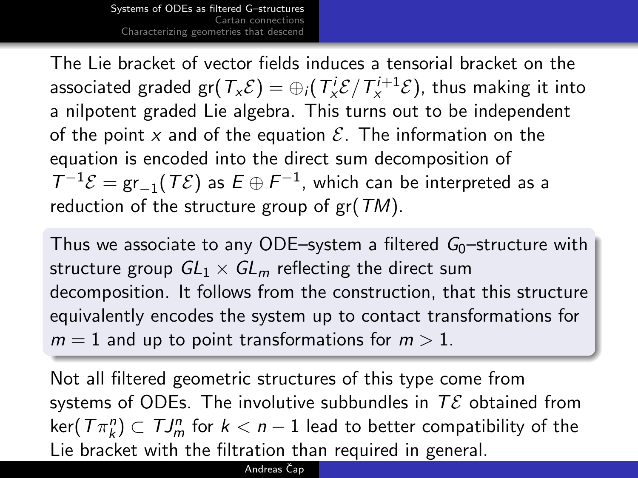The Lie bracket of vector fields induces a tensorial bracket on the associated graded gr $(\mathcal{T}_{x}\mathcal{E})=\oplus_{i}(\mathcal{T}_{x}^{i}\mathcal{E}/\mathcal{T}_{x}^{i+1}\mathcal{E})$ , thus making it into a nilpotent graded Lie algebra. This turns out to be independent of the point x and of the equation  $\mathcal{E}$ . The information on the equation is encoded into the direct sum decomposition of  $T^{-1}\mathcal{E} = \text{gr}_{-1}(T\mathcal{E})$  as  $E \oplus F^{-1}$ , which can be interpreted as a reduction of the structure group of  $gr(TM)$ .

Thus we associate to any ODE–system a filtered  $G_0$ –structure with structure group  $GL_1 \times GL_m$  reflecting the direct sum decomposition. It follows from the construction, that this structure equivalently encodes the system up to contact transformations for  $m = 1$  and up to point transformations for  $m > 1$ .

Not all filtered geometric structures of this type come from systems of ODEs. The involutive subbundles in  $T\mathcal{E}$  obtained from  $\ker(\left\langle T\pi _{k}^{n}\right\rangle \subset \left\langle TJ_{m}^{n}\right\rangle$  for  $k< n-1$  lead to better compatibility of the Lie bracket with the filtration than required in general.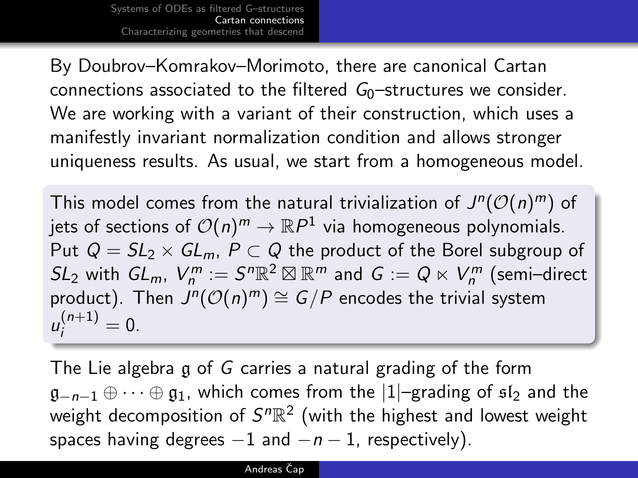<span id="page-6-0"></span>By Doubrov–Komrakov–Morimoto, there are canonical Cartan connections associated to the filtered  $G_0$ -structures we consider. We are working with a variant of their construction, which uses a manifestly invariant normalization condition and allows stronger uniqueness results. As usual, we start from a homogeneous model.

This model comes from the natural trivialization of  $J^n(\mathcal{O}(n)^m)$  of jets of sections of  $\mathcal{O}(n)^m \to \mathbb{R}P^1$  via homogeneous polynomials. Put  $Q = SL_2 \times GL_m$ ,  $P \subset Q$  the product of the Borel subgroup of  $SL_2$  with  $GL_m$ ,  $V_m^m:=S^n\mathbb{R}^2\boxtimes\mathbb{R}^m$  and  $G:=Q\ltimes V_n^m$  (semi–direct product). Then  $J^n(\mathcal{O}(n)^m) \cong G/P$  encodes the trivial system  $u_i^{(n+1)} = 0.$ 

The Lie algebra g of G carries a natural grading of the form  $\mathfrak{g}_{-n-1} \oplus \cdots \oplus \mathfrak{g}_1$ , which comes from the  $|1|$ –grading of  $\mathfrak{sl}_2$  and the weight decomposition of  $S^n\mathbb{R}^2$  (with the highest and lowest weight spaces having degrees  $-1$  and  $-n-1$ , respectively).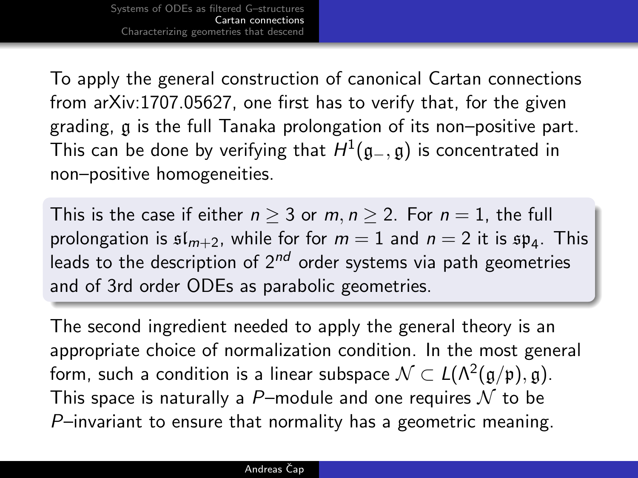To apply the general construction of canonical Cartan connections from arXiv:1707.05627, one first has to verify that, for the given grading, g is the full Tanaka prolongation of its non–positive part. This can be done by verifying that  $H^1(\mathfrak{g}_-,\mathfrak{g})$  is concentrated in non–positive homogeneities.

This is the case if either  $n > 3$  or  $m, n > 2$ . For  $n = 1$ , the full prolongation is  $\mathfrak{sl}_{m+2}$ , while for for  $m=1$  and  $n=2$  it is  $\mathfrak{sp}_4$ . This leads to the description of  $2^{nd}$  order systems via path geometries and of 3rd order ODEs as parabolic geometries.

The second ingredient needed to apply the general theory is an appropriate choice of normalization condition. In the most general form, such a condition is a linear subspace  $\mathcal{N}\subset L(\Lambda^2(\mathfrak{g}/\mathfrak{p}),\mathfrak{g}).$ This space is naturally a P-module and one requires  $\mathcal N$  to be P–invariant to ensure that normality has a geometric meaning.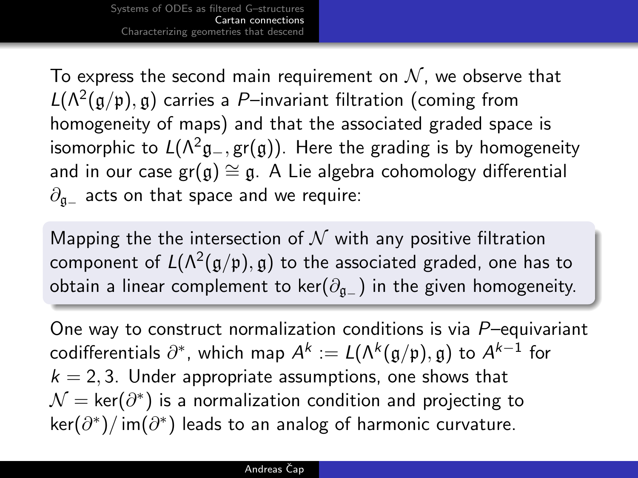To express the second main requirement on  $\mathcal N$ , we observe that  $L(\Lambda^2(\mathfrak{g}/\mathfrak{p}),\mathfrak{g})$  carries a P-invariant filtration (coming from homogeneity of maps) and that the associated graded space is isomorphic to  $L(\Lambda^2 \mathfrak{g}_-, \text{gr}(\mathfrak{g}))$ . Here the grading is by homogeneity and in our case  $gr(g) \cong g$ . A Lie algebra cohomology differential  $\partial_{\mathfrak{a}_-}$  acts on that space and we require:

Mapping the the intersection of  $N$  with any positive filtration component of  $L(\Lambda^2(\mathfrak{g}/\mathfrak{p}),\mathfrak{g})$  to the associated graded, one has to obtain a linear complement to ker( $\partial_{a-}$ ) in the given homogeneity.

One way to construct normalization conditions is via P–equivariant  $\text{codifferentials}\,\,\partial^*,$  which map  $A^k:=L(\Lambda^k(\mathfrak{g}/\mathfrak{p}),\mathfrak{g})$  to  $A^{k-1}$  for  $k = 2, 3$ . Under appropriate assumptions, one shows that  $\mathcal{N} = \mathsf{ker}(\partial^*)$  is a normalization condition and projecting to  $\ker(\partial^*)/$  im $(\partial^*)$  leads to an analog of harmonic curvature.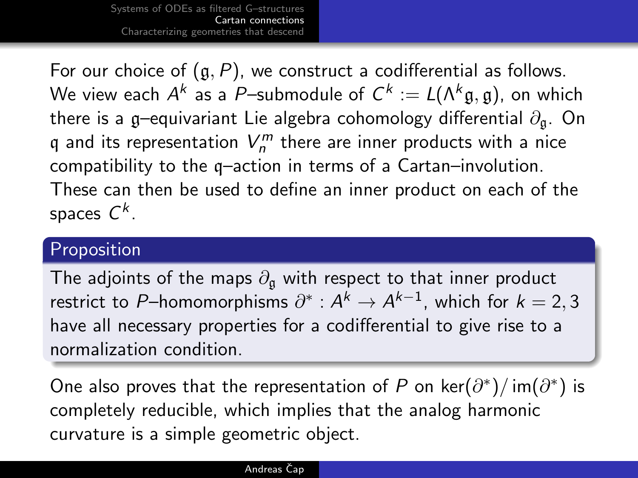For our choice of  $(g, P)$ , we construct a codifferential as follows. We view each  $A^k$  as a  $P-$ submodule of  $C^k:=L(\Lambda^k\mathfrak{g},\mathfrak{g}),$  on which there is a g–equivariant Lie algebra cohomology differential  $\partial_{\alpha}$ . On q and its representation  $V_n^m$  there are inner products with a nice compatibility to the q–action in terms of a Cartan–involution. These can then be used to define an inner product on each of the spaces  $\mathsf{C}^k$ .

### Proposition

The adjoints of the maps  $\partial_{\mathfrak{a}}$  with respect to that inner product restrict to P–homomorphisms  $\partial^*: A^k \to A^{k-1}$ , which for  $k=2,3$ have all necessary properties for a codifferential to give rise to a normalization condition.

One also proves that the representation of P on ker $(\partial^*)/$  im $(\partial^*)$  is completely reducible, which implies that the analog harmonic curvature is a simple geometric object.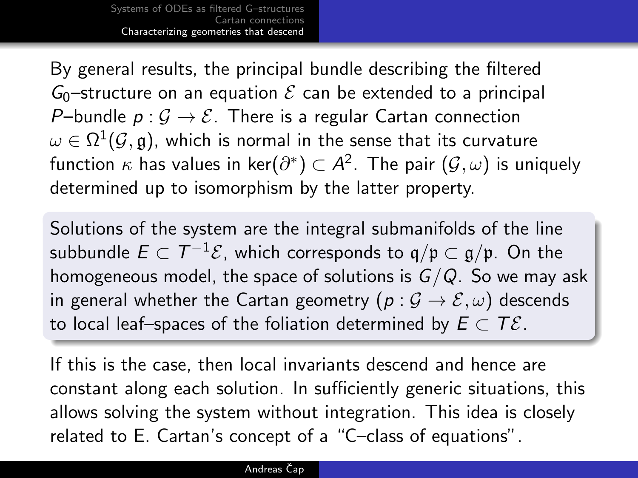<span id="page-10-0"></span>By general results, the principal bundle describing the filtered  $G_0$ -structure on an equation  $\mathcal E$  can be extended to a principal P–bundle  $p: \mathcal{G} \to \mathcal{E}$ . There is a regular Cartan connection  $\omega \in \Omega^1(\mathcal{G},\mathfrak{g}),$  which is normal in the sense that its curvature function  $\kappa$  has values in ker $(\partial^*)\subset A^2.$  The pair  $(\mathcal{G},\omega)$  is uniquely determined up to isomorphism by the latter property.

Solutions of the system are the integral submanifolds of the line subbundle  $E\subset \mathcal{T}^{-1}\mathcal{E}$ , which corresponds to  $\mathfrak{q}/\mathfrak{p}\subset \mathfrak{g}/\mathfrak{p}.$  On the homogeneous model, the space of solutions is  $G/Q$ . So we may ask in general whether the Cartan geometry ( $p : \mathcal{G} \to \mathcal{E}, \omega$ ) descends to local leaf–spaces of the foliation determined by  $E \subset T \mathcal{E}$ .

If this is the case, then local invariants descend and hence are constant along each solution. In sufficiently generic situations, this allows solving the system without integration. This idea is closely related to E. Cartan's concept of a "C–class of equations".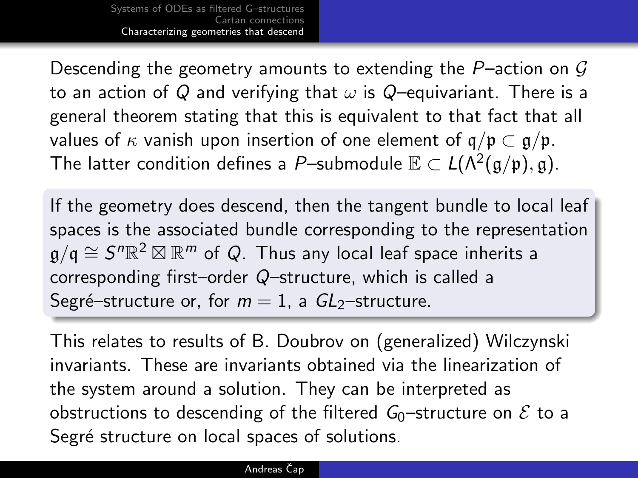Descending the geometry amounts to extending the P-action on  $G$ to an action of Q and verifying that  $\omega$  is Q-equivariant. There is a general theorem stating that this is equivalent to that fact that all values of  $\kappa$  vanish upon insertion of one element of  $\mathfrak{q}/\mathfrak{p} \subset \mathfrak{q}/\mathfrak{p}$ . The latter condition defines a P–submodule  $\mathbb{E}\subset L(\Lambda^2(\mathfrak{g}/\mathfrak{p}),\mathfrak{g}).$ 

If the geometry does descend, then the tangent bundle to local leaf spaces is the associated bundle corresponding to the representation  $\mathfrak{g} / \mathfrak{q} \cong \mathcal{S}^n \mathbb{R}^2 \boxtimes \mathbb{R}^m$  of Q. Thus any local leaf space inherits a corresponding first–order Q–structure, which is called a Segré–structure or, for  $m = 1$ , a  $GL_2$ –structure.

This relates to results of B. Doubrov on (generalized) Wilczynski invariants. These are invariants obtained via the linearization of the system around a solution. They can be interpreted as obstructions to descending of the filtered  $G_0$ -structure on  $\mathcal E$  to a Segré structure on local spaces of solutions.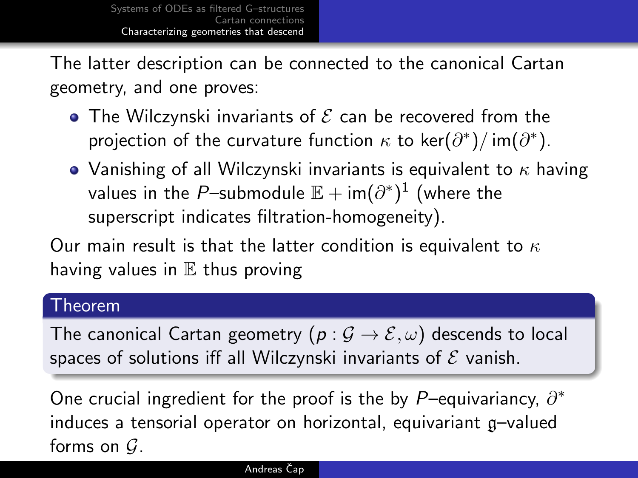The latter description can be connected to the canonical Cartan geometry, and one proves:

- The Wilczynski invariants of  ${\cal E}$  can be recovered from the projection of the curvature function  $\kappa$  to ker $(\partial^*)/$  im $(\partial^*)$ .
- Vanishing of all Wilczynski invariants is equivalent to  $\kappa$  having values in the  $P-$ submodule  $\mathbb{E}+\mathsf{im}(\partial^*)^1$  (where the superscript indicates filtration-homogeneity).

Our main result is that the latter condition is equivalent to  $\kappa$ having values in  $E$  thus proving

### Theorem

The canonical Cartan geometry  $(p : \mathcal{G} \to \mathcal{E}, \omega)$  descends to local spaces of solutions iff all Wilczynski invariants of  $\mathcal E$  vanish.

One crucial ingredient for the proof is the by P–equivariancy,  $\partial^*$ induces a tensorial operator on horizontal, equivariant g–valued forms on  $G$ .

#### Andreas Čap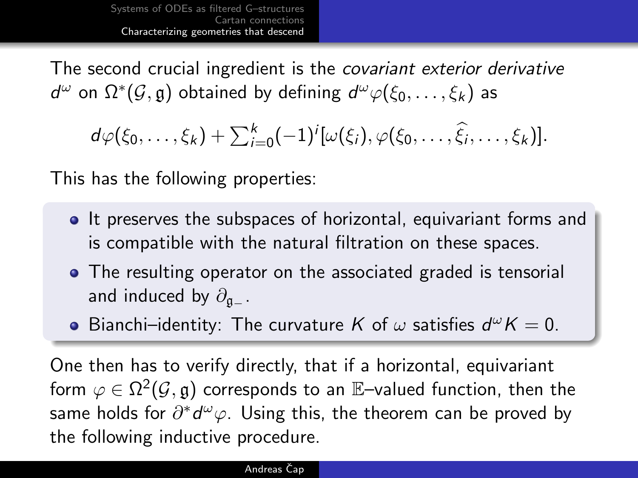The second crucial ingredient is the covariant exterior derivative  $d^\omega$  on  $\Omega^*(\mathcal{G}, \mathfrak{g})$  obtained by defining  $d^\omega \varphi(\xi_0, \ldots, \xi_k)$  as

 $d\varphi(\xi_0,\ldots,\xi_k)+\sum_{i=0}^k(-1)^i[\omega(\xi_i),\varphi(\xi_0,\ldots,\widehat{\xi}_i,\ldots,\xi_k)].$ 

This has the following properties:

- **It preserves the subspaces of horizontal, equivariant forms and** is compatible with the natural filtration on these spaces.
- The resulting operator on the associated graded is tensorial and induced by  $\partial_{\alpha}$  .
- Bianchi–identity: The curvature K of  $\omega$  satisfies  $d^{\omega}K = 0$ .

One then has to verify directly, that if a horizontal, equivariant form  $\varphi\in\Omega^2(\mathcal{G},\mathfrak{g})$  corresponds to an  $\mathbb{E}\text{-}$ valued function, then the same holds for  $\partial^*d^\omega\varphi.$  Using this, the theorem can be proved by the following inductive procedure.